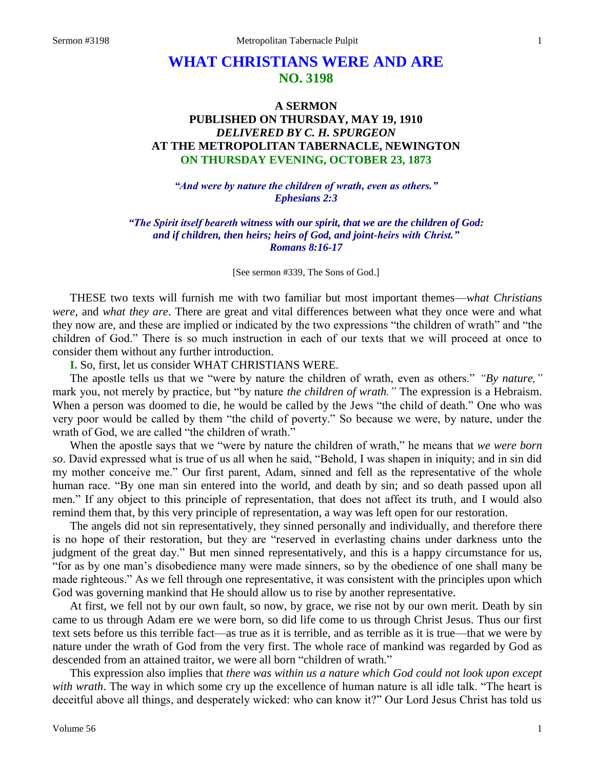# **WHAT CHRISTIANS WERE AND ARE NO. 3198**

# **A SERMON PUBLISHED ON THURSDAY, MAY 19, 1910** *DELIVERED BY C. H. SPURGEON* **AT THE METROPOLITAN TABERNACLE, NEWINGTON ON THURSDAY EVENING, OCTOBER 23, 1873**

*"And were by nature the children of wrath, even as others." Ephesians 2:3*

*"The Spirit itself beareth witness with our spirit, that we are the children of God: and if children, then heirs; heirs of God, and joint-heirs with Christ." Romans 8:16-17*

[See sermon #339, The Sons of God.]

THESE two texts will furnish me with two familiar but most important themes—*what Christians were,* and *what they are*. There are great and vital differences between what they once were and what they now are, and these are implied or indicated by the two expressions "the children of wrath" and "the children of God." There is so much instruction in each of our texts that we will proceed at once to consider them without any further introduction.

**I.** So, first, let us consider WHAT CHRISTIANS WERE.

The apostle tells us that we "were by nature the children of wrath, even as others." *"By nature,"* mark you, not merely by practice, but "by nature *the children of wrath."* The expression is a Hebraism. When a person was doomed to die, he would be called by the Jews "the child of death." One who was very poor would be called by them "the child of poverty." So because we were, by nature, under the wrath of God, we are called "the children of wrath."

When the apostle says that we "were by nature the children of wrath," he means that *we were born so*. David expressed what is true of us all when he said, "Behold, I was shapen in iniquity; and in sin did my mother conceive me." Our first parent, Adam, sinned and fell as the representative of the whole human race. "By one man sin entered into the world, and death by sin; and so death passed upon all men." If any object to this principle of representation, that does not affect its truth, and I would also remind them that, by this very principle of representation, a way was left open for our restoration.

The angels did not sin representatively, they sinned personally and individually, and therefore there is no hope of their restoration, but they are "reserved in everlasting chains under darkness unto the judgment of the great day." But men sinned representatively, and this is a happy circumstance for us, "for as by one man's disobedience many were made sinners, so by the obedience of one shall many be made righteous." As we fell through one representative, it was consistent with the principles upon which God was governing mankind that He should allow us to rise by another representative.

At first, we fell not by our own fault, so now, by grace, we rise not by our own merit. Death by sin came to us through Adam ere we were born, so did life come to us through Christ Jesus. Thus our first text sets before us this terrible fact—as true as it is terrible, and as terrible as it is true—that we were by nature under the wrath of God from the very first. The whole race of mankind was regarded by God as descended from an attained traitor, we were all born "children of wrath."

This expression also implies that *there was within us a nature which God could not look upon except with wrath*. The way in which some cry up the excellence of human nature is all idle talk. "The heart is deceitful above all things, and desperately wicked: who can know it?" Our Lord Jesus Christ has told us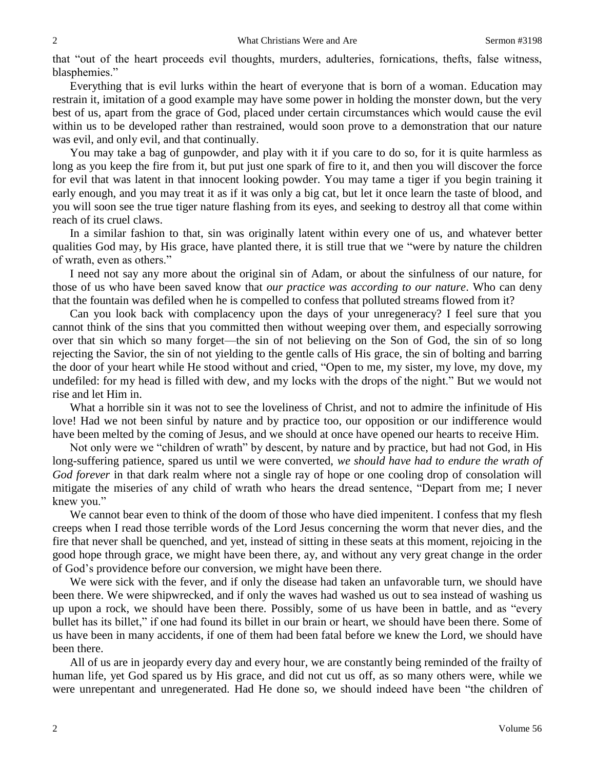that "out of the heart proceeds evil thoughts, murders, adulteries, fornications, thefts, false witness, blasphemies."

Everything that is evil lurks within the heart of everyone that is born of a woman. Education may restrain it, imitation of a good example may have some power in holding the monster down, but the very best of us, apart from the grace of God, placed under certain circumstances which would cause the evil within us to be developed rather than restrained, would soon prove to a demonstration that our nature was evil, and only evil, and that continually.

You may take a bag of gunpowder, and play with it if you care to do so, for it is quite harmless as long as you keep the fire from it, but put just one spark of fire to it, and then you will discover the force for evil that was latent in that innocent looking powder. You may tame a tiger if you begin training it early enough, and you may treat it as if it was only a big cat, but let it once learn the taste of blood, and you will soon see the true tiger nature flashing from its eyes, and seeking to destroy all that come within reach of its cruel claws.

In a similar fashion to that, sin was originally latent within every one of us, and whatever better qualities God may, by His grace, have planted there, it is still true that we "were by nature the children of wrath, even as others."

I need not say any more about the original sin of Adam, or about the sinfulness of our nature, for those of us who have been saved know that *our practice was according to our nature*. Who can deny that the fountain was defiled when he is compelled to confess that polluted streams flowed from it?

Can you look back with complacency upon the days of your unregeneracy? I feel sure that you cannot think of the sins that you committed then without weeping over them, and especially sorrowing over that sin which so many forget—the sin of not believing on the Son of God, the sin of so long rejecting the Savior, the sin of not yielding to the gentle calls of His grace, the sin of bolting and barring the door of your heart while He stood without and cried, "Open to me, my sister, my love, my dove, my undefiled: for my head is filled with dew, and my locks with the drops of the night." But we would not rise and let Him in.

What a horrible sin it was not to see the loveliness of Christ, and not to admire the infinitude of His love! Had we not been sinful by nature and by practice too, our opposition or our indifference would have been melted by the coming of Jesus, and we should at once have opened our hearts to receive Him.

Not only were we "children of wrath" by descent, by nature and by practice, but had not God, in His long-suffering patience, spared us until we were converted, *we should have had to endure the wrath of God forever* in that dark realm where not a single ray of hope or one cooling drop of consolation will mitigate the miseries of any child of wrath who hears the dread sentence, "Depart from me; I never knew you."

We cannot bear even to think of the doom of those who have died impenitent. I confess that my flesh creeps when I read those terrible words of the Lord Jesus concerning the worm that never dies, and the fire that never shall be quenched, and yet, instead of sitting in these seats at this moment, rejoicing in the good hope through grace, we might have been there, ay, and without any very great change in the order of God's providence before our conversion, we might have been there.

We were sick with the fever, and if only the disease had taken an unfavorable turn, we should have been there. We were shipwrecked, and if only the waves had washed us out to sea instead of washing us up upon a rock, we should have been there. Possibly, some of us have been in battle, and as "every bullet has its billet," if one had found its billet in our brain or heart, we should have been there. Some of us have been in many accidents, if one of them had been fatal before we knew the Lord, we should have been there.

All of us are in jeopardy every day and every hour, we are constantly being reminded of the frailty of human life, yet God spared us by His grace, and did not cut us off, as so many others were, while we were unrepentant and unregenerated. Had He done so, we should indeed have been "the children of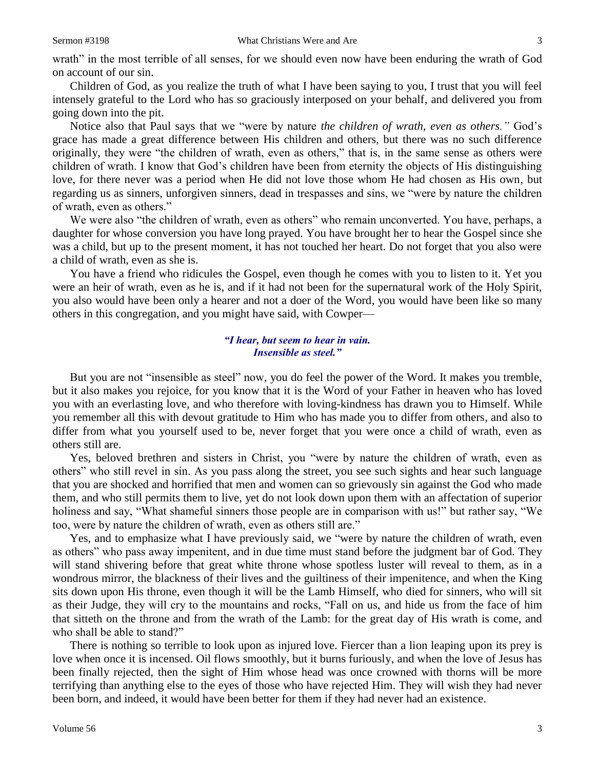wrath" in the most terrible of all senses, for we should even now have been enduring the wrath of God on account of our sin.

Children of God, as you realize the truth of what I have been saying to you, I trust that you will feel intensely grateful to the Lord who has so graciously interposed on your behalf, and delivered you from going down into the pit.

Notice also that Paul says that we "were by nature *the children of wrath, even as others."* God's grace has made a great difference between His children and others, but there was no such difference originally, they were "the children of wrath, even as others," that is, in the same sense as others were children of wrath. I know that God's children have been from eternity the objects of His distinguishing love, for there never was a period when He did not love those whom He had chosen as His own, but regarding us as sinners, unforgiven sinners, dead in trespasses and sins, we "were by nature the children of wrath, even as others."

We were also "the children of wrath, even as others" who remain unconverted. You have, perhaps, a daughter for whose conversion you have long prayed. You have brought her to hear the Gospel since she was a child, but up to the present moment, it has not touched her heart. Do not forget that you also were a child of wrath, even as she is.

You have a friend who ridicules the Gospel, even though he comes with you to listen to it. Yet you were an heir of wrath, even as he is, and if it had not been for the supernatural work of the Holy Spirit, you also would have been only a hearer and not a doer of the Word, you would have been like so many others in this congregation, and you might have said, with Cowper—

#### *"I hear, but seem to hear in vain. Insensible as steel."*

But you are not "insensible as steel" now, you do feel the power of the Word. It makes you tremble, but it also makes you rejoice, for you know that it is the Word of your Father in heaven who has loved you with an everlasting love, and who therefore with loving-kindness has drawn you to Himself. While you remember all this with devout gratitude to Him who has made you to differ from others, and also to differ from what you yourself used to be, never forget that you were once a child of wrath, even as others still are.

Yes, beloved brethren and sisters in Christ, you "were by nature the children of wrath, even as others" who still revel in sin. As you pass along the street, you see such sights and hear such language that you are shocked and horrified that men and women can so grievously sin against the God who made them, and who still permits them to live, yet do not look down upon them with an affectation of superior holiness and say, "What shameful sinners those people are in comparison with us!" but rather say, "We too, were by nature the children of wrath, even as others still are."

Yes, and to emphasize what I have previously said, we "were by nature the children of wrath, even as others" who pass away impenitent, and in due time must stand before the judgment bar of God. They will stand shivering before that great white throne whose spotless luster will reveal to them, as in a wondrous mirror, the blackness of their lives and the guiltiness of their impenitence, and when the King sits down upon His throne, even though it will be the Lamb Himself, who died for sinners, who will sit as their Judge, they will cry to the mountains and rocks, "Fall on us, and hide us from the face of him that sitteth on the throne and from the wrath of the Lamb: for the great day of His wrath is come, and who shall be able to stand?"

There is nothing so terrible to look upon as injured love. Fiercer than a lion leaping upon its prey is love when once it is incensed. Oil flows smoothly, but it burns furiously, and when the love of Jesus has been finally rejected, then the sight of Him whose head was once crowned with thorns will be more terrifying than anything else to the eyes of those who have rejected Him. They will wish they had never been born, and indeed, it would have been better for them if they had never had an existence.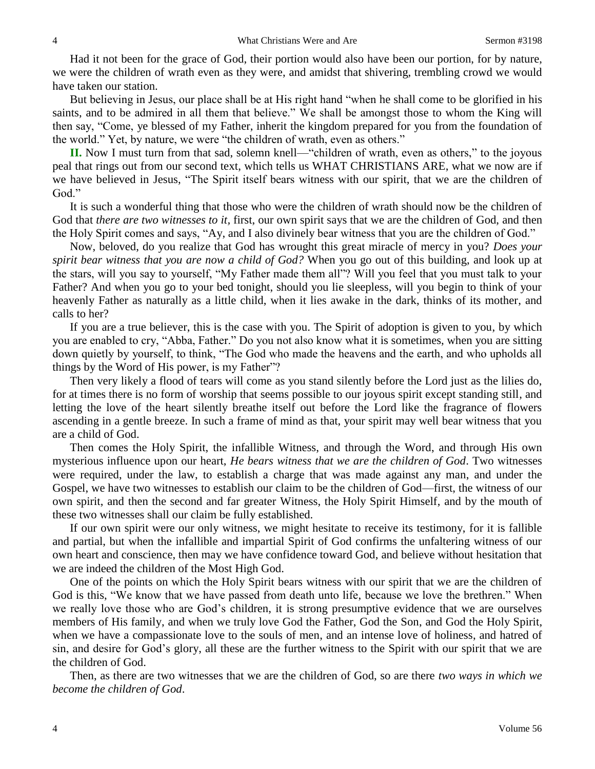Had it not been for the grace of God, their portion would also have been our portion, for by nature, we were the children of wrath even as they were, and amidst that shivering, trembling crowd we would have taken our station.

But believing in Jesus, our place shall be at His right hand "when he shall come to be glorified in his saints, and to be admired in all them that believe." We shall be amongst those to whom the King will then say, "Come, ye blessed of my Father, inherit the kingdom prepared for you from the foundation of the world." Yet, by nature, we were "the children of wrath, even as others."

**II.** Now I must turn from that sad, solemn knell—"children of wrath, even as others," to the joyous peal that rings out from our second text, which tells us WHAT CHRISTIANS ARE, what we now are if we have believed in Jesus, "The Spirit itself bears witness with our spirit, that we are the children of God."

It is such a wonderful thing that those who were the children of wrath should now be the children of God that *there are two witnesses to it,* first, our own spirit says that we are the children of God, and then the Holy Spirit comes and says, "Ay, and I also divinely bear witness that you are the children of God."

Now, beloved, do you realize that God has wrought this great miracle of mercy in you? *Does your spirit bear witness that you are now a child of God?* When you go out of this building, and look up at the stars, will you say to yourself, "My Father made them all"? Will you feel that you must talk to your Father? And when you go to your bed tonight, should you lie sleepless, will you begin to think of your heavenly Father as naturally as a little child, when it lies awake in the dark, thinks of its mother, and calls to her?

If you are a true believer, this is the case with you. The Spirit of adoption is given to you, by which you are enabled to cry, "Abba, Father." Do you not also know what it is sometimes, when you are sitting down quietly by yourself, to think, "The God who made the heavens and the earth, and who upholds all things by the Word of His power, is my Father"?

Then very likely a flood of tears will come as you stand silently before the Lord just as the lilies do, for at times there is no form of worship that seems possible to our joyous spirit except standing still, and letting the love of the heart silently breathe itself out before the Lord like the fragrance of flowers ascending in a gentle breeze. In such a frame of mind as that, your spirit may well bear witness that you are a child of God.

Then comes the Holy Spirit, the infallible Witness, and through the Word, and through His own mysterious influence upon our heart, *He bears witness that we are the children of God*. Two witnesses were required, under the law, to establish a charge that was made against any man, and under the Gospel, we have two witnesses to establish our claim to be the children of God—first, the witness of our own spirit, and then the second and far greater Witness, the Holy Spirit Himself, and by the mouth of these two witnesses shall our claim be fully established.

If our own spirit were our only witness, we might hesitate to receive its testimony, for it is fallible and partial, but when the infallible and impartial Spirit of God confirms the unfaltering witness of our own heart and conscience, then may we have confidence toward God, and believe without hesitation that we are indeed the children of the Most High God.

One of the points on which the Holy Spirit bears witness with our spirit that we are the children of God is this, "We know that we have passed from death unto life, because we love the brethren." When we really love those who are God's children, it is strong presumptive evidence that we are ourselves members of His family, and when we truly love God the Father, God the Son, and God the Holy Spirit, when we have a compassionate love to the souls of men, and an intense love of holiness, and hatred of sin, and desire for God's glory, all these are the further witness to the Spirit with our spirit that we are the children of God.

Then, as there are two witnesses that we are the children of God, so are there *two ways in which we become the children of God*.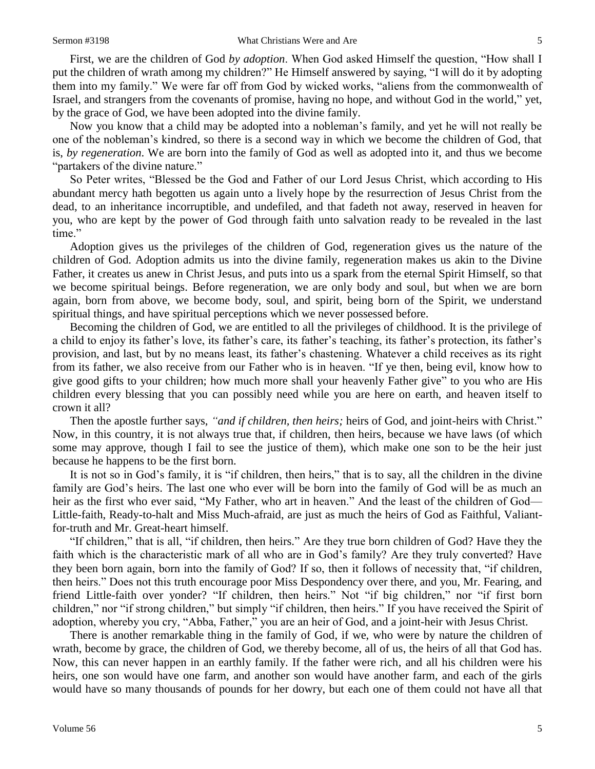First, we are the children of God *by adoption*. When God asked Himself the question, "How shall I put the children of wrath among my children?" He Himself answered by saying, "I will do it by adopting them into my family." We were far off from God by wicked works, "aliens from the commonwealth of Israel, and strangers from the covenants of promise, having no hope, and without God in the world," yet, by the grace of God, we have been adopted into the divine family.

Now you know that a child may be adopted into a nobleman's family, and yet he will not really be one of the nobleman's kindred, so there is a second way in which we become the children of God, that is, *by regeneration*. We are born into the family of God as well as adopted into it, and thus we become "partakers of the divine nature."

So Peter writes, "Blessed be the God and Father of our Lord Jesus Christ, which according to His abundant mercy hath begotten us again unto a lively hope by the resurrection of Jesus Christ from the dead, to an inheritance incorruptible, and undefiled, and that fadeth not away, reserved in heaven for you, who are kept by the power of God through faith unto salvation ready to be revealed in the last time."

Adoption gives us the privileges of the children of God, regeneration gives us the nature of the children of God. Adoption admits us into the divine family, regeneration makes us akin to the Divine Father, it creates us anew in Christ Jesus, and puts into us a spark from the eternal Spirit Himself, so that we become spiritual beings. Before regeneration, we are only body and soul, but when we are born again, born from above, we become body, soul, and spirit, being born of the Spirit, we understand spiritual things, and have spiritual perceptions which we never possessed before.

Becoming the children of God, we are entitled to all the privileges of childhood. It is the privilege of a child to enjoy its father's love, its father's care, its father's teaching, its father's protection, its father's provision, and last, but by no means least, its father's chastening. Whatever a child receives as its right from its father, we also receive from our Father who is in heaven. "If ye then, being evil, know how to give good gifts to your children; how much more shall your heavenly Father give" to you who are His children every blessing that you can possibly need while you are here on earth, and heaven itself to crown it all?

Then the apostle further says, *"and if children, then heirs;* heirs of God, and joint-heirs with Christ." Now, in this country, it is not always true that, if children, then heirs, because we have laws (of which some may approve, though I fail to see the justice of them), which make one son to be the heir just because he happens to be the first born.

It is not so in God's family, it is "if children, then heirs," that is to say, all the children in the divine family are God's heirs. The last one who ever will be born into the family of God will be as much an heir as the first who ever said, "My Father, who art in heaven." And the least of the children of God— Little-faith, Ready-to-halt and Miss Much-afraid, are just as much the heirs of God as Faithful, Valiantfor-truth and Mr. Great-heart himself.

"If children," that is all, "if children, then heirs." Are they true born children of God? Have they the faith which is the characteristic mark of all who are in God's family? Are they truly converted? Have they been born again, born into the family of God? If so, then it follows of necessity that, "if children, then heirs." Does not this truth encourage poor Miss Despondency over there, and you, Mr. Fearing, and friend Little-faith over yonder? "If children, then heirs." Not "if big children," nor "if first born children," nor "if strong children," but simply "if children, then heirs." If you have received the Spirit of adoption, whereby you cry, "Abba, Father," you are an heir of God, and a joint-heir with Jesus Christ.

There is another remarkable thing in the family of God, if we, who were by nature the children of wrath, become by grace, the children of God, we thereby become, all of us, the heirs of all that God has. Now, this can never happen in an earthly family. If the father were rich, and all his children were his heirs, one son would have one farm, and another son would have another farm, and each of the girls would have so many thousands of pounds for her dowry, but each one of them could not have all that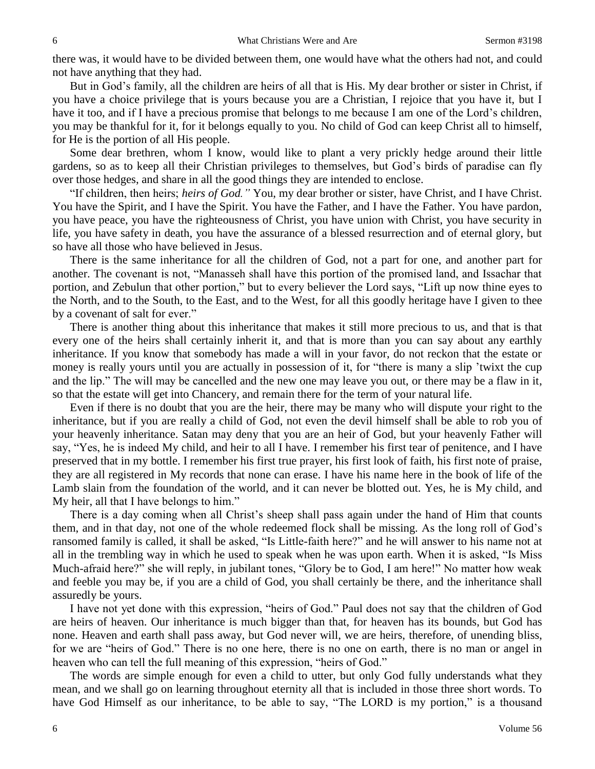there was, it would have to be divided between them, one would have what the others had not, and could not have anything that they had.

But in God's family, all the children are heirs of all that is His. My dear brother or sister in Christ, if you have a choice privilege that is yours because you are a Christian, I rejoice that you have it, but I have it too, and if I have a precious promise that belongs to me because I am one of the Lord's children, you may be thankful for it, for it belongs equally to you. No child of God can keep Christ all to himself, for He is the portion of all His people.

Some dear brethren, whom I know, would like to plant a very prickly hedge around their little gardens, so as to keep all their Christian privileges to themselves, but God's birds of paradise can fly over those hedges, and share in all the good things they are intended to enclose.

"If children, then heirs; *heirs of God."* You, my dear brother or sister, have Christ, and I have Christ. You have the Spirit, and I have the Spirit. You have the Father, and I have the Father. You have pardon, you have peace, you have the righteousness of Christ, you have union with Christ, you have security in life, you have safety in death, you have the assurance of a blessed resurrection and of eternal glory, but so have all those who have believed in Jesus.

There is the same inheritance for all the children of God, not a part for one, and another part for another. The covenant is not, "Manasseh shall have this portion of the promised land, and Issachar that portion, and Zebulun that other portion," but to every believer the Lord says, "Lift up now thine eyes to the North, and to the South, to the East, and to the West, for all this goodly heritage have I given to thee by a covenant of salt for ever."

There is another thing about this inheritance that makes it still more precious to us, and that is that every one of the heirs shall certainly inherit it, and that is more than you can say about any earthly inheritance. If you know that somebody has made a will in your favor, do not reckon that the estate or money is really yours until you are actually in possession of it, for "there is many a slip 'twixt the cup and the lip." The will may be cancelled and the new one may leave you out, or there may be a flaw in it, so that the estate will get into Chancery, and remain there for the term of your natural life.

Even if there is no doubt that you are the heir, there may be many who will dispute your right to the inheritance, but if you are really a child of God, not even the devil himself shall be able to rob you of your heavenly inheritance. Satan may deny that you are an heir of God, but your heavenly Father will say, "Yes, he is indeed My child, and heir to all I have. I remember his first tear of penitence, and I have preserved that in my bottle. I remember his first true prayer, his first look of faith, his first note of praise, they are all registered in My records that none can erase. I have his name here in the book of life of the Lamb slain from the foundation of the world, and it can never be blotted out. Yes, he is My child, and My heir, all that I have belongs to him."

There is a day coming when all Christ's sheep shall pass again under the hand of Him that counts them, and in that day, not one of the whole redeemed flock shall be missing. As the long roll of God's ransomed family is called, it shall be asked, "Is Little-faith here?" and he will answer to his name not at all in the trembling way in which he used to speak when he was upon earth. When it is asked, "Is Miss Much-afraid here?" she will reply, in jubilant tones, "Glory be to God, I am here!" No matter how weak and feeble you may be, if you are a child of God, you shall certainly be there, and the inheritance shall assuredly be yours.

I have not yet done with this expression, "heirs of God." Paul does not say that the children of God are heirs of heaven. Our inheritance is much bigger than that, for heaven has its bounds, but God has none. Heaven and earth shall pass away, but God never will, we are heirs, therefore, of unending bliss, for we are "heirs of God." There is no one here, there is no one on earth, there is no man or angel in heaven who can tell the full meaning of this expression, "heirs of God."

The words are simple enough for even a child to utter, but only God fully understands what they mean, and we shall go on learning throughout eternity all that is included in those three short words. To have God Himself as our inheritance, to be able to say, "The LORD is my portion," is a thousand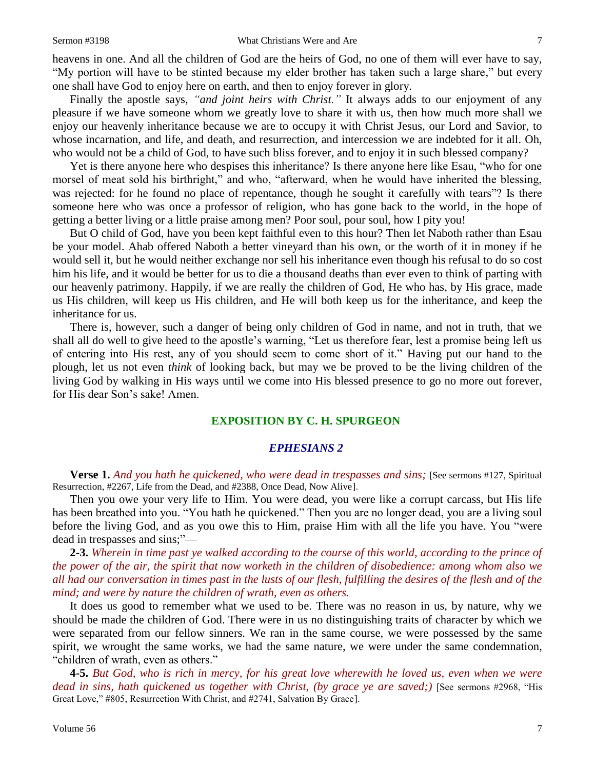heavens in one. And all the children of God are the heirs of God, no one of them will ever have to say, "My portion will have to be stinted because my elder brother has taken such a large share," but every one shall have God to enjoy here on earth, and then to enjoy forever in glory.

Finally the apostle says, *"and joint heirs with Christ."* It always adds to our enjoyment of any pleasure if we have someone whom we greatly love to share it with us, then how much more shall we enjoy our heavenly inheritance because we are to occupy it with Christ Jesus, our Lord and Savior, to whose incarnation, and life, and death, and resurrection, and intercession we are indebted for it all. Oh, who would not be a child of God, to have such bliss forever, and to enjoy it in such blessed company?

Yet is there anyone here who despises this inheritance? Is there anyone here like Esau, "who for one morsel of meat sold his birthright," and who, "afterward, when he would have inherited the blessing, was rejected: for he found no place of repentance, though he sought it carefully with tears"? Is there someone here who was once a professor of religion, who has gone back to the world, in the hope of getting a better living or a little praise among men? Poor soul, pour soul, how I pity you!

But O child of God, have you been kept faithful even to this hour? Then let Naboth rather than Esau be your model. Ahab offered Naboth a better vineyard than his own, or the worth of it in money if he would sell it, but he would neither exchange nor sell his inheritance even though his refusal to do so cost him his life, and it would be better for us to die a thousand deaths than ever even to think of parting with our heavenly patrimony. Happily, if we are really the children of God, He who has, by His grace, made us His children, will keep us His children, and He will both keep us for the inheritance, and keep the inheritance for us.

There is, however, such a danger of being only children of God in name, and not in truth, that we shall all do well to give heed to the apostle's warning, "Let us therefore fear, lest a promise being left us of entering into His rest, any of you should seem to come short of it." Having put our hand to the plough, let us not even *think* of looking back, but may we be proved to be the living children of the living God by walking in His ways until we come into His blessed presence to go no more out forever, for His dear Son's sake! Amen.

#### **EXPOSITION BY C. H. SPURGEON**

#### *EPHESIANS 2*

**Verse 1.** *And you hath he quickened, who were dead in trespasses and sins;* [See sermons #127, Spiritual Resurrection, #2267, Life from the Dead, and #2388, Once Dead, Now Alive].

Then you owe your very life to Him. You were dead, you were like a corrupt carcass, but His life has been breathed into you. "You hath he quickened." Then you are no longer dead, you are a living soul before the living God, and as you owe this to Him, praise Him with all the life you have. You "were dead in trespasses and sins;"—

**2-3.** *Wherein in time past ye walked according to the course of this world, according to the prince of the power of the air, the spirit that now worketh in the children of disobedience: among whom also we all had our conversation in times past in the lusts of our flesh, fulfilling the desires of the flesh and of the mind; and were by nature the children of wrath, even as others.*

It does us good to remember what we used to be. There was no reason in us, by nature, why we should be made the children of God. There were in us no distinguishing traits of character by which we were separated from our fellow sinners. We ran in the same course, we were possessed by the same spirit, we wrought the same works, we had the same nature, we were under the same condemnation, "children of wrath, even as others."

**4-5.** *But God, who is rich in mercy, for his great love wherewith he loved us, even when we were dead in sins, hath quickened us together with Christ, (by grace ye are saved;)* [See sermons #2968, "His Great Love," #805, Resurrection With Christ, and #2741, Salvation By Grace].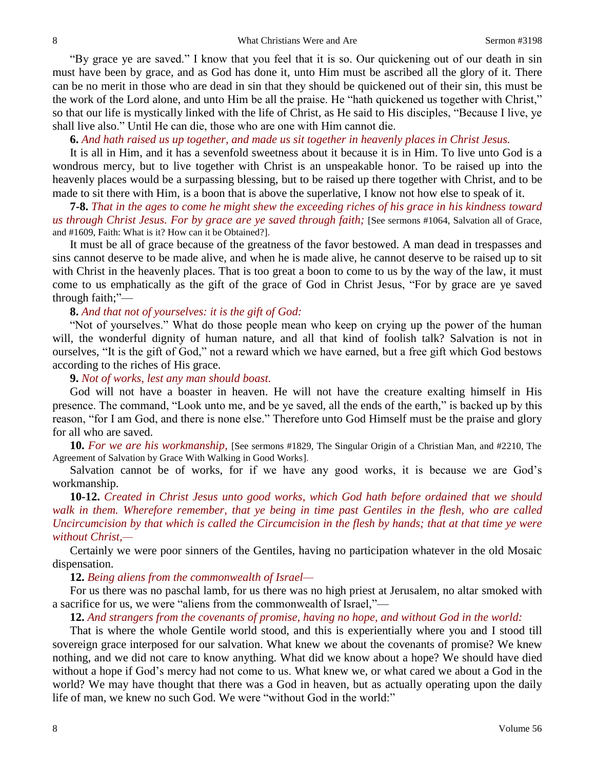"By grace ye are saved." I know that you feel that it is so. Our quickening out of our death in sin must have been by grace, and as God has done it, unto Him must be ascribed all the glory of it. There can be no merit in those who are dead in sin that they should be quickened out of their sin, this must be the work of the Lord alone, and unto Him be all the praise. He "hath quickened us together with Christ," so that our life is mystically linked with the life of Christ, as He said to His disciples, "Because I live, ye shall live also." Until He can die, those who are one with Him cannot die.

#### **6.** *And hath raised us up together, and made us sit together in heavenly places in Christ Jesus.*

It is all in Him, and it has a sevenfold sweetness about it because it is in Him. To live unto God is a wondrous mercy, but to live together with Christ is an unspeakable honor. To be raised up into the heavenly places would be a surpassing blessing, but to be raised up there together with Christ, and to be made to sit there with Him, is a boon that is above the superlative, I know not how else to speak of it.

**7-8.** *That in the ages to come he might shew the exceeding riches of his grace in his kindness toward us through Christ Jesus. For by grace are ye saved through faith;* [See sermons #1064, Salvation all of Grace, and #1609, Faith: What is it? How can it be Obtained?].

It must be all of grace because of the greatness of the favor bestowed. A man dead in trespasses and sins cannot deserve to be made alive, and when he is made alive, he cannot deserve to be raised up to sit with Christ in the heavenly places. That is too great a boon to come to us by the way of the law, it must come to us emphatically as the gift of the grace of God in Christ Jesus, "For by grace are ye saved through faith;"—

# **8.** *And that not of yourselves: it is the gift of God:*

"Not of yourselves." What do those people mean who keep on crying up the power of the human will, the wonderful dignity of human nature, and all that kind of foolish talk? Salvation is not in ourselves, "It is the gift of God," not a reward which we have earned, but a free gift which God bestows according to the riches of His grace.

### **9.** *Not of works, lest any man should boast.*

God will not have a boaster in heaven. He will not have the creature exalting himself in His presence. The command, "Look unto me, and be ye saved, all the ends of the earth," is backed up by this reason, "for I am God, and there is none else." Therefore unto God Himself must be the praise and glory for all who are saved.

**10.** *For we are his workmanship,* [See sermons #1829, The Singular Origin of a Christian Man, and #2210, The Agreement of Salvation by Grace With Walking in Good Works].

Salvation cannot be of works, for if we have any good works, it is because we are God's workmanship.

**10-12.** *Created in Christ Jesus unto good works, which God hath before ordained that we should walk in them. Wherefore remember, that ye being in time past Gentiles in the flesh, who are called Uncircumcision by that which is called the Circumcision in the flesh by hands; that at that time ye were without Christ,—*

Certainly we were poor sinners of the Gentiles, having no participation whatever in the old Mosaic dispensation.

#### **12.** *Being aliens from the commonwealth of Israel—*

For us there was no paschal lamb, for us there was no high priest at Jerusalem, no altar smoked with a sacrifice for us, we were "aliens from the commonwealth of Israel,"—

**12.** *And strangers from the covenants of promise, having no hope, and without God in the world:*

That is where the whole Gentile world stood, and this is experientially where you and I stood till sovereign grace interposed for our salvation. What knew we about the covenants of promise? We knew nothing, and we did not care to know anything. What did we know about a hope? We should have died without a hope if God's mercy had not come to us. What knew we, or what cared we about a God in the world? We may have thought that there was a God in heaven, but as actually operating upon the daily life of man, we knew no such God. We were "without God in the world:"